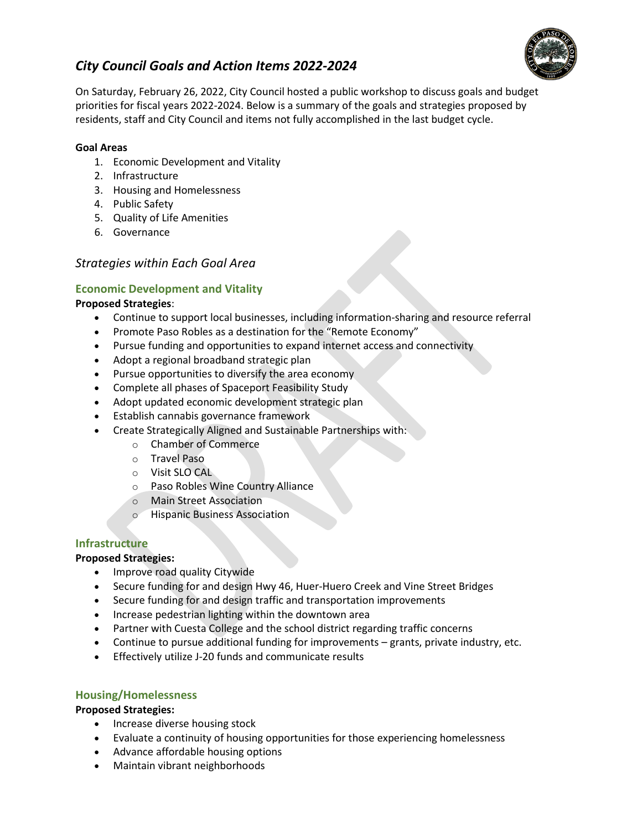

# *City Council Goals and Action Items 2022-2024*

On Saturday, February 26, 2022, City Council hosted a public workshop to discuss goals and budget priorities for fiscal years 2022-2024. Below is a summary of the goals and strategies proposed by residents, staff and City Council and items not fully accomplished in the last budget cycle.

#### **Goal Areas**

- 1. Economic Development and Vitality
- 2. Infrastructure
- 3. Housing and Homelessness
- 4. Public Safety
- 5. Quality of Life Amenities
- 6. Governance

# *Strategies within Each Goal Area*

## **Economic Development and Vitality**

#### **Proposed Strategies**:

- Continue to support local businesses, including information-sharing and resource referral
- Promote Paso Robles as a destination for the "Remote Economy"
- Pursue funding and opportunities to expand internet access and connectivity
- Adopt a regional broadband strategic plan
- Pursue opportunities to diversify the area economy
- Complete all phases of Spaceport Feasibility Study
- Adopt updated economic development strategic plan
- Establish cannabis governance framework
- Create Strategically Aligned and Sustainable Partnerships with:
	- o Chamber of Commerce
		- o Travel Paso
		- o Visit SLO CAL
		- o Paso Robles Wine Country Alliance
		- o Main Street Association
		- o Hispanic Business Association

## **Infrastructure**

#### **Proposed Strategies:**

- Improve road quality Citywide
- Secure funding for and design Hwy 46, Huer-Huero Creek and Vine Street Bridges
- Secure funding for and design traffic and transportation improvements
- Increase pedestrian lighting within the downtown area
- Partner with Cuesta College and the school district regarding traffic concerns
- Continue to pursue additional funding for improvements grants, private industry, etc.
- Effectively utilize J-20 funds and communicate results

#### **Housing/Homelessness**

#### **Proposed Strategies:**

- Increase diverse housing stock
- Evaluate a continuity of housing opportunities for those experiencing homelessness
- Advance affordable housing options
- Maintain vibrant neighborhoods